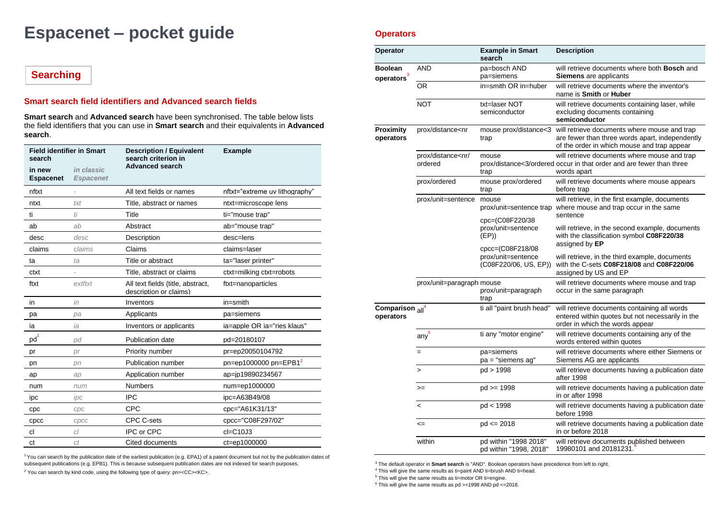# **Espacenet – pocket guide**

# **Searching**

## **Smart search field identifiers and Advanced search fields**

**Smart search** and **Advanced search** have been synchronised. The table below lists the field identifiers that you can use in **Smart search** and their equivalents in **Advanced search**.

| <b>Field identifier in Smart</b><br>search |                                | <b>Description / Equivalent</b><br>search criterion in      | <b>Example</b>                 |  |
|--------------------------------------------|--------------------------------|-------------------------------------------------------------|--------------------------------|--|
| in new<br><b>Espacenet</b>                 | in classic<br><b>Espacenet</b> | <b>Advanced search</b>                                      |                                |  |
| nftxt                                      |                                | All text fields or names                                    | nftxt="extreme uv lithography" |  |
| ntxt                                       | txt                            | Title, abstract or names                                    | ntxt=microscope lens           |  |
| ti                                         | ti                             | Title                                                       | ti="mouse trap"                |  |
| ab                                         | ab                             | Abstract                                                    | ab="mouse trap"                |  |
| desc                                       | desc                           | Description                                                 | desc=lens                      |  |
| claims                                     | claims                         | Claims                                                      | claims=laser                   |  |
| ta                                         | ta                             | Title or abstract                                           | ta="laser printer"             |  |
| ctxt                                       |                                | Title, abstract or claims                                   | ctxt=milking ctxt=robots       |  |
| ftxt                                       | extftxt                        | All text fields (title, abstract,<br>description or claims) | ftxt=nanoparticles             |  |
| in                                         | in                             | Inventors                                                   | $in=smith$                     |  |
| pa                                         | pa                             | Applicants                                                  | pa=siemens                     |  |
| ia                                         | ia                             | Inventors or applicants                                     | ia=apple OR ia="ries klaus"    |  |
| pd <sup>1</sup>                            | pd                             | Publication date                                            | pd=20180107                    |  |
| pr                                         | pr                             | Priority number                                             | pr=ep20050104792               |  |
| pn                                         | pn                             | Publication number                                          | $pn = ep1000000$ $pn = EPB12$  |  |
| ap                                         | ap                             | Application number                                          | ap=jp19890234567               |  |
| num                                        | num                            | <b>Numbers</b>                                              | num=ep1000000                  |  |
| ipc                                        | ipc                            | <b>IPC</b>                                                  | ipc=A63B49/08                  |  |
| cpc                                        | cpc                            | CPC                                                         | cpc="A61K31/13"                |  |
| cpcc                                       | CDCC                           | CPC C-sets                                                  | cpcc="C08F297/02"              |  |
| cl                                         | cl                             | IPC or CPC                                                  | $cl = C10J3$                   |  |
| ct                                         | ct                             | Cited documents                                             | ct=ep1000000                   |  |

<sup>1</sup>You can search by the publication date of the earliest publication (e.g. EPA1) of a patent document but not by the publication dates of subsequent publications (e.g. EPB1). This is because subsequent publication dates are not indexed for search purposes. <sup>2</sup> You can search by kind code, using the following type of query: pn=<CC><KC>.

## **Operators**

| Operator                                            |                                                                                                                                                                                                                                | <b>Example in Smart</b><br>search                                     | <b>Description</b>                                                                                                                                                   |
|-----------------------------------------------------|--------------------------------------------------------------------------------------------------------------------------------------------------------------------------------------------------------------------------------|-----------------------------------------------------------------------|----------------------------------------------------------------------------------------------------------------------------------------------------------------------|
| Boolean<br>operators <sup>3</sup>                   | <b>AND</b>                                                                                                                                                                                                                     | pa=bosch AND<br>pa=siemens                                            | will retrieve documents where both Bosch and<br><b>Siemens</b> are applicants                                                                                        |
|                                                     | 0R                                                                                                                                                                                                                             | in=smith OR in=huber                                                  | will retrieve documents where the inventor's<br>name is Smith or Huber                                                                                               |
|                                                     | <b>NOT</b>                                                                                                                                                                                                                     | txt=laser NOT<br>semiconductor                                        | will retrieve documents containing laser, while<br>excluding documents containing<br>semiconductor                                                                   |
| Proximity<br>operators                              | prox/distance <nr< td=""><td>trap</td><td>mouse prox/distance&lt;3 will retrieve documents where mouse and trap<br/>are fewer than three words apart, independently<br/>of the order in which mouse and trap appear</td></nr<> | trap                                                                  | mouse prox/distance<3 will retrieve documents where mouse and trap<br>are fewer than three words apart, independently<br>of the order in which mouse and trap appear |
|                                                     | prox/distance <nr <br="">ordered</nr>                                                                                                                                                                                          | mouse<br>trap                                                         | will retrieve documents where mouse and trap<br>prox/distance<3/ordered occur in that order and are fewer than three<br>words apart                                  |
|                                                     | prox/ordered                                                                                                                                                                                                                   | mouse prox/ordered<br>trap                                            | will retrieve documents where mouse appears<br>before trap                                                                                                           |
|                                                     | prox/unit=sentence                                                                                                                                                                                                             | mouse<br>prox/unit=sentence trap                                      | will retrieve, in the first example, documents<br>where mouse and trap occur in the same<br>sentence                                                                 |
|                                                     |                                                                                                                                                                                                                                | cpc=(C08F220/38<br>prox/unit=sentence<br>(EP)<br>$cpc = (CO8F218/08)$ | will retrieve, in the second example, documents<br>with the classification symbol C08F220/38<br>assigned by EP                                                       |
|                                                     |                                                                                                                                                                                                                                | prox/unit=sentence<br>(C08F220/06, US, EP))                           | will retrieve, in the third example, documents<br>with the C-sets C08F218/08 and C08F220/06<br>assigned by US and EP                                                 |
|                                                     | prox/unit=paragraph mouse                                                                                                                                                                                                      | prox/unit=paragraph<br>trap                                           | will retrieve documents where mouse and trap<br>occur in the same paragraph                                                                                          |
| Comparison <sub>all</sub> <sup>4</sup><br>operators |                                                                                                                                                                                                                                | ti all "paint brush head"                                             | will retrieve documents containing all words<br>entered within quotes but not necessarily in the<br>order in which the words appear                                  |
|                                                     | any <sup>5</sup>                                                                                                                                                                                                               | ti any "motor engine"                                                 | will retrieve documents containing any of the<br>words entered within quotes                                                                                         |
|                                                     | $=$                                                                                                                                                                                                                            | pa=siemens<br>pa = "siemens ag"                                       | will retrieve documents where either Siemens or<br>Siemens AG are applicants                                                                                         |
|                                                     | $\geq$                                                                                                                                                                                                                         | pd > 1998                                                             | will retrieve documents having a publication date<br>after 1998                                                                                                      |
|                                                     | $>=$                                                                                                                                                                                                                           | $pd = 1998$                                                           | will retrieve documents having a publication date<br>in or after 1998                                                                                                |
|                                                     | $\,<$                                                                                                                                                                                                                          | pd < 1998                                                             | will retrieve documents having a publication date<br>before 1998                                                                                                     |
|                                                     | $\leq$                                                                                                                                                                                                                         | $pd \le 2018$                                                         | will retrieve documents having a publication date<br>in or before 2018                                                                                               |
|                                                     | within                                                                                                                                                                                                                         | pd within "1998 2018"<br>pd within "1998, 2018"                       | will retrieve documents published between<br>19980101 and 20181231.                                                                                                  |

<sup>3</sup> The default operator in **Smart search** is "AND". Boolean operators have precedence from left to right.

<sup>4</sup> This will give the same results as ti=paint AND ti=brush AND ti=head.

<sup>5</sup> This will give the same results as ti=motor OR ti=engine.

 $6$  This will give the same results as pd >=1998 AND pd <= 2018.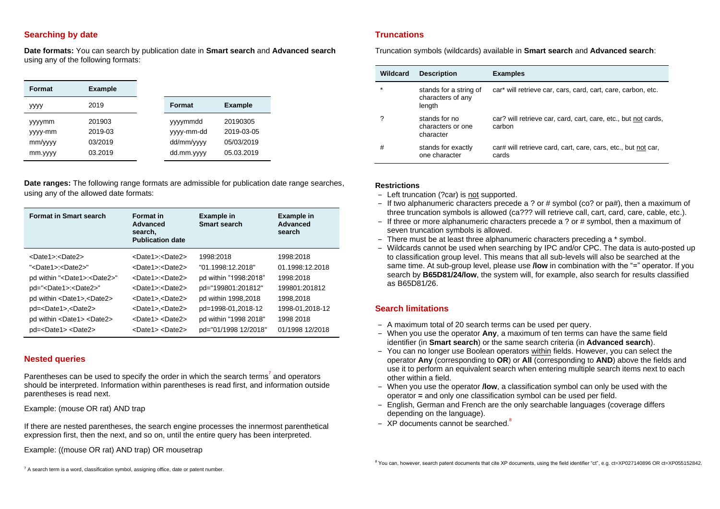## **Searching by date**

**Date formats:** You can search by publication date in **Smart search** and **Advanced search** using any of the following formats:

| Format                                 | <b>Example</b>                          |                                                    |                                                    |
|----------------------------------------|-----------------------------------------|----------------------------------------------------|----------------------------------------------------|
| yyyy                                   | 2019                                    | Format                                             | <b>Example</b>                                     |
| yyymm<br>yyyy-mm<br>mm/yyyy<br>mm.yyyy | 201903<br>2019-03<br>03/2019<br>03.2019 | yyyymmdd<br>yyyy-mm-dd<br>dd/mm/yyyy<br>dd.mm.yyyy | 20190305<br>2019-03-05<br>05/03/2019<br>05.03.2019 |

**Date ranges:** The following range formats are admissible for publication date range searches, using any of the allowed date formats:

| <b>Format in Smart search</b>                | <b>Format</b> in<br>Advanced<br>search,<br><b>Publication date</b> | <b>Example in</b><br>Smart search | Example in<br>Advanced<br>search |
|----------------------------------------------|--------------------------------------------------------------------|-----------------------------------|----------------------------------|
| <date1>:<date2></date2></date1>              | <date1> <date2></date2></date1>                                    | 1998:2018                         | 1998:2018                        |
| " <date1>:<date2>"</date2></date1>           | <date1> <date2></date2></date1>                                    | "01.1998:12.2018"                 | 01.1998:12.2018                  |
| pd within " <date1>:<date2>"</date2></date1> | <date1>:<date2></date2></date1>                                    | pd within "1998:2018"             | 1998:2018                        |
| pd=" <date1>:<date2>"</date2></date1>        | <date1>:<date2></date2></date1>                                    | pd="199801:201812"                | 199801:201812                    |
| pd within <date1>,<date2></date2></date1>    | <date1>,<date2></date2></date1>                                    | pd within 1998,2018               | 1998,2018                        |
| pd= <date1>,<date2></date2></date1>          | <date1>,<date2></date2></date1>                                    | pd=1998-01,2018-12                | 1998-01.2018-12                  |
| pd within <date1> <date2></date2></date1>    | <date1> <date2></date2></date1>                                    | pd within "1998 2018"             | 1998 2018                        |
| $p$ d= <date1> <date2></date2></date1>       | <date1> <date2></date2></date1>                                    | pd="01/1998 12/2018"              | 01/1998 12/2018                  |

#### **Nested queries**

Parentheses can be used to specify the order in which the search terms<sup>7</sup> and operators should be interpreted. Information within parentheses is read first, and information outside parentheses is read next.

Example: (mouse OR rat) AND trap

If there are nested parentheses, the search engine processes the innermost parenthetical expression first, then the next, and so on, until the entire query has been interpreted.

Example: ((mouse OR rat) AND trap) OR mousetrap

### **Truncations**

Truncation symbols (wildcards) available in **Smart search** and **Advanced search**:

| Wildcard | <b>Description</b>                                    | <b>Examples</b>                                                          |
|----------|-------------------------------------------------------|--------------------------------------------------------------------------|
| *        | stands for a string of<br>characters of any<br>length | car* will retrieve car, cars, card, cart, care, carbon, etc.             |
| ?        | stands for no<br>characters or one<br>character       | car? will retrieve car, card, cart, care, etc., but not cards,<br>carbon |
| #        | stands for exactly<br>one character                   | car# will retrieve card, cart, care, cars, etc., but not car,<br>cards   |

#### **Restrictions**

- Left truncation (?car) is not supported.
- $-$  If two alphanumeric characters precede a ? or # symbol (co? or pa#), then a maximum of three truncation symbols is allowed (ca??? will retrieve call, cart, card, care, cable, etc.).
- $-$  If three or more alphanumeric characters precede a ? or # symbol, then a maximum of seven truncation symbols is allowed.
- There must be at least three alphanumeric characters preceding a \* symbol.
- ‒ Wildcards cannot be used when searching by IPC and/or CPC. The data is auto-posted up to classification group level. This means that all sub-levels will also be searched at the same time. At sub-group level, please use **/low** in combination with the "=" operator. If you search by **B65D81/24/low**, the system will, for example, also search for results classified as B65D81/26.

## **Search limitations**

- A maximum total of 20 search terms can be used per query.
- ‒ When you use the operator **Any**, a maximum of ten terms can have the same field identifier (in **Smart search**) or the same search criteria (in **Advanced search**).
- ‒ You can no longer use Boolean operators within fields. However, you can select the operator **Any** (corresponding to **OR**) or **All** (corresponding to **AND**) above the fields and use it to perform an equivalent search when entering multiple search items next to each other within a field.
- ‒ When you use the operator **/low**, a classification symbol can only be used with the operator **=** and only one classification symbol can be used per field.
- English, German and French are the only searchable languages (coverage differs depending on the language).
- XP documents cannot be searched.<sup>8</sup>

<sup>7</sup> A search term is a word, classification symbol, assigning office, date or patent number.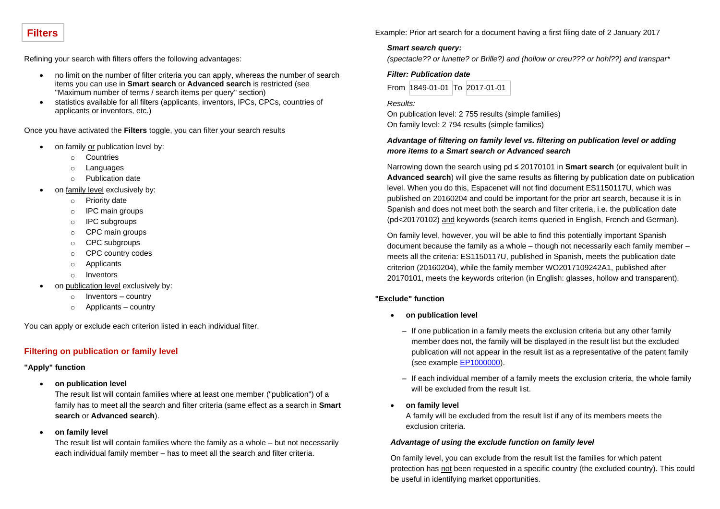## **Filters**

Refining your search with filters offers the following advantages:

- no limit on the number of filter criteria you can apply, whereas the number of search items you can use in **Smart search** or **Advanced search** is restricted (see "Maximum number of terms / search items per query" section)
- statistics available for all filters (applicants, inventors, IPCs, CPCs, countries of applicants or inventors, etc.)

Once you have activated the **Filters** toggle, you can filter your search results

- on family or publication level by:
	- o Countries
	- o Languages
	- o Publication date
- on family level exclusively by:
	- o Priority date
	- o IPC main groups
	- o IPC subgroups
	- o CPC main groups
	- o CPC subgroups
	- o CPC country codes
	- o Applicants
	- o Inventors
- on publication level exclusively by:
	- o Inventors country
	- o Applicants country

You can apply or exclude each criterion listed in each individual filter.

## **Filtering on publication or family level**

#### **"Apply" function**

• **on publication level**

The result list will contain families where at least one member ("publication") of a family has to meet all the search and filter criteria (same effect as a search in **Smart search** or **Advanced search**).

• **on family level** 

The result list will contain families where the family as a whole – but not necessarily each individual family member – has to meet all the search and filter criteria.

Example: Prior art search for a document having a first filing date of 2 January 2017

## *Smart search query:*

*(spectacle?? or lunette? or Brille?) and (hollow or creu??? or hohl??) and transpar\**

*Filter: Publication date* From 1849-01-01 To 2017-01-01

*Results:* On publication level: 2 755 results (simple families) On family level: 2 794 results (simple families)

## *Advantage of filtering on family level vs. filtering on publication level or adding more items to a Smart search or Advanced search*

Narrowing down the search using pd ≤ 20170101 in **Smart search** (or equivalent built in **Advanced search**) will give the same results as filtering by publication date on publication level. When you do this, Espacenet will not find document ES1150117U, which was published on 20160204 and could be important for the prior art search, because it is in Spanish and does not meet both the search and filter criteria, i.e. the publication date (pd<20170102) and keywords (search items queried in English, French and German).

On family level, however, you will be able to find this potentially important Spanish document because the family as a whole – though not necessarily each family member – meets all the criteria: ES1150117U, published in Spanish, meets the publication date criterion (20160204), while the family member WO2017109242A1, published after 20170101, meets the keywords criterion (in English: glasses, hollow and transparent).

#### **"Exclude" function**

- **on publication level** 
	- If one publication in a family meets the exclusion criteria but any other family member does not, the family will be displayed in the result list but the excluded publication will not appear in the result list as a representative of the patent family (see example [EP1000000\)](https://worldwide.espacenet.com/beta/search/family/019768124/publication/AT232441T?f=publications.cc%3Aex%3Dep&q=pr%20%3D%20%22NL1010536A%22).
	- ‒ If each individual member of a family meets the exclusion criteria, the whole family will be excluded from the result list.
- **on family level**

A family will be excluded from the result list if any of its members meets the exclusion criteria.

#### *Advantage of using the exclude function on family level*

On family level, you can exclude from the result list the families for which patent protection has not been requested in a specific country (the excluded country). This could be useful in identifying market opportunities.